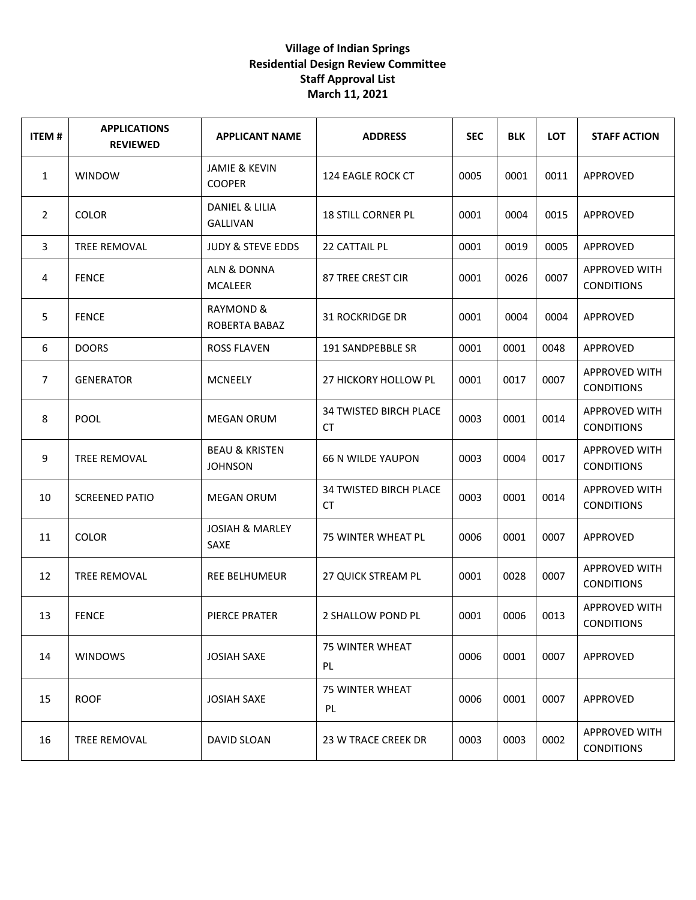| <b>ITEM#</b>   | <b>APPLICATIONS</b><br><b>REVIEWED</b> | <b>APPLICANT NAME</b>                       | <b>ADDRESS</b>                             | <b>SEC</b> | <b>BLK</b> | <b>LOT</b> | <b>STAFF ACTION</b>                       |
|----------------|----------------------------------------|---------------------------------------------|--------------------------------------------|------------|------------|------------|-------------------------------------------|
| $\mathbf{1}$   | <b>WINDOW</b>                          | <b>JAMIE &amp; KEVIN</b><br><b>COOPER</b>   | 124 EAGLE ROCK CT                          | 0005       | 0001       | 0011       | APPROVED                                  |
| $\overline{2}$ | <b>COLOR</b>                           | DANIEL & LILIA<br><b>GALLIVAN</b>           | <b>18 STILL CORNER PL</b>                  | 0001       | 0004       | 0015       | APPROVED                                  |
| 3              | TREE REMOVAL                           | <b>JUDY &amp; STEVE EDDS</b>                | <b>22 CATTAIL PL</b>                       | 0001       | 0019       | 0005       | APPROVED                                  |
| 4              | <b>FENCE</b>                           | ALN & DONNA<br><b>MCALEER</b>               | 87 TREE CREST CIR                          | 0001       | 0026       | 0007       | <b>APPROVED WITH</b><br><b>CONDITIONS</b> |
| 5              | <b>FENCE</b>                           | RAYMOND &<br>ROBERTA BABAZ                  | <b>31 ROCKRIDGE DR</b>                     | 0001       | 0004       | 0004       | APPROVED                                  |
| 6              | <b>DOORS</b>                           | <b>ROSS FLAVEN</b>                          | 191 SANDPEBBLE SR                          | 0001       | 0001       | 0048       | APPROVED                                  |
| $\overline{7}$ | <b>GENERATOR</b>                       | <b>MCNEELY</b>                              | 27 HICKORY HOLLOW PL                       | 0001       | 0017       | 0007       | <b>APPROVED WITH</b><br><b>CONDITIONS</b> |
| 8              | <b>POOL</b>                            | <b>MEGAN ORUM</b>                           | <b>34 TWISTED BIRCH PLACE</b><br><b>CT</b> | 0003       | 0001       | 0014       | <b>APPROVED WITH</b><br><b>CONDITIONS</b> |
| 9              | <b>TREE REMOVAL</b>                    | <b>BEAU &amp; KRISTEN</b><br><b>JOHNSON</b> | <b>66 N WILDE YAUPON</b>                   | 0003       | 0004       | 0017       | <b>APPROVED WITH</b><br><b>CONDITIONS</b> |
| 10             | <b>SCREENED PATIO</b>                  | <b>MEGAN ORUM</b>                           | <b>34 TWISTED BIRCH PLACE</b><br><b>CT</b> | 0003       | 0001       | 0014       | <b>APPROVED WITH</b><br><b>CONDITIONS</b> |
| 11             | <b>COLOR</b>                           | <b>JOSIAH &amp; MARLEY</b><br>SAXE          | 75 WINTER WHEAT PL                         | 0006       | 0001       | 0007       | APPROVED                                  |
| 12             | TREE REMOVAL                           | <b>REE BELHUMEUR</b>                        | <b>27 QUICK STREAM PL</b>                  | 0001       | 0028       | 0007       | <b>APPROVED WITH</b><br><b>CONDITIONS</b> |
| 13             | <b>FENCE</b>                           | PIERCE PRATER                               | 2 SHALLOW POND PL                          | 0001       | 0006       | 0013       | <b>APPROVED WITH</b><br><b>CONDITIONS</b> |
| 14             | <b>WINDOWS</b>                         | <b>JOSIAH SAXE</b>                          | 75 WINTER WHEAT<br>PL                      | 0006       | 0001       | 0007       | APPROVED                                  |
| 15             | <b>ROOF</b>                            | <b>JOSIAH SAXE</b>                          | 75 WINTER WHEAT<br>PL                      | 0006       | 0001       | 0007       | APPROVED                                  |
| 16             | <b>TREE REMOVAL</b>                    | DAVID SLOAN                                 | 23 W TRACE CREEK DR                        | 0003       | 0003       | 0002       | <b>APPROVED WITH</b><br><b>CONDITIONS</b> |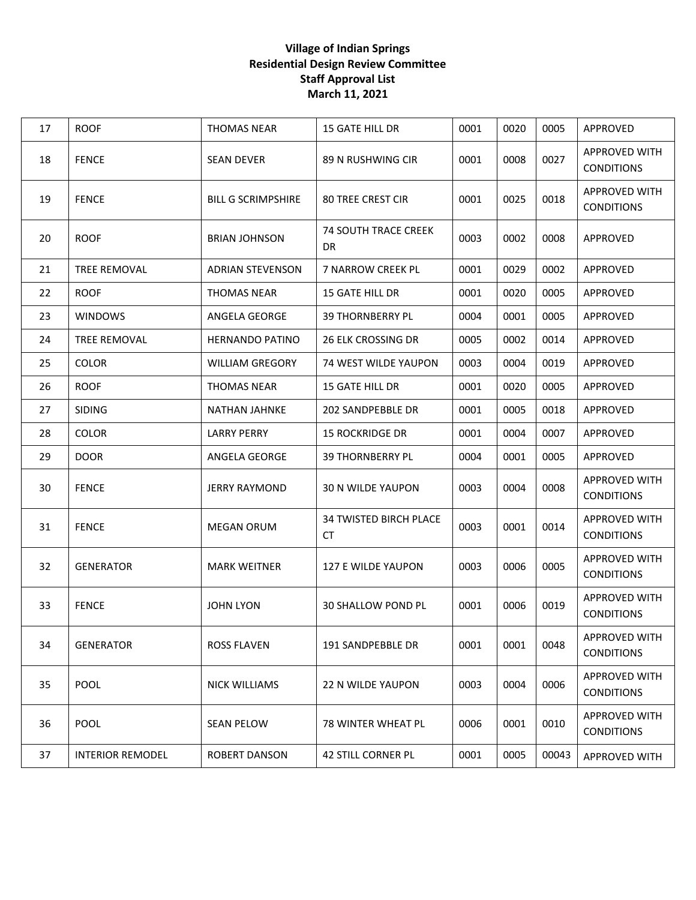| 17 | <b>ROOF</b>             | <b>THOMAS NEAR</b>        | <b>15 GATE HILL DR</b>                   | 0001 | 0020 | 0005  | APPROVED                                  |
|----|-------------------------|---------------------------|------------------------------------------|------|------|-------|-------------------------------------------|
| 18 | <b>FENCE</b>            | <b>SEAN DEVER</b>         | 89 N RUSHWING CIR                        | 0001 | 0008 | 0027  | APPROVED WITH<br><b>CONDITIONS</b>        |
| 19 | <b>FENCE</b>            | <b>BILL G SCRIMPSHIRE</b> | <b>80 TREE CREST CIR</b>                 | 0001 | 0025 | 0018  | <b>APPROVED WITH</b><br><b>CONDITIONS</b> |
| 20 | <b>ROOF</b>             | <b>BRIAN JOHNSON</b>      | <b>74 SOUTH TRACE CREEK</b><br><b>DR</b> | 0003 | 0002 | 0008  | APPROVED                                  |
| 21 | <b>TREE REMOVAL</b>     | <b>ADRIAN STEVENSON</b>   | 7 NARROW CREEK PL                        | 0001 | 0029 | 0002  | APPROVED                                  |
| 22 | <b>ROOF</b>             | <b>THOMAS NEAR</b>        | <b>15 GATE HILL DR</b>                   | 0001 | 0020 | 0005  | APPROVED                                  |
| 23 | <b>WINDOWS</b>          | ANGELA GEORGE             | <b>39 THORNBERRY PL</b>                  | 0004 | 0001 | 0005  | APPROVED                                  |
| 24 | <b>TREE REMOVAL</b>     | <b>HERNANDO PATINO</b>    | 26 ELK CROSSING DR                       | 0005 | 0002 | 0014  | <b>APPROVED</b>                           |
| 25 | <b>COLOR</b>            | <b>WILLIAM GREGORY</b>    | 74 WEST WILDE YAUPON                     | 0003 | 0004 | 0019  | APPROVED                                  |
| 26 | <b>ROOF</b>             | <b>THOMAS NEAR</b>        | <b>15 GATE HILL DR</b>                   | 0001 | 0020 | 0005  | APPROVED                                  |
| 27 | <b>SIDING</b>           | NATHAN JAHNKE             | 202 SANDPEBBLE DR                        | 0001 | 0005 | 0018  | APPROVED                                  |
| 28 | <b>COLOR</b>            | <b>LARRY PERRY</b>        | <b>15 ROCKRIDGE DR</b>                   | 0001 | 0004 | 0007  | APPROVED                                  |
| 29 | <b>DOOR</b>             | ANGELA GEORGE             | <b>39 THORNBERRY PL</b>                  | 0004 | 0001 | 0005  | APPROVED                                  |
| 30 | <b>FENCE</b>            | <b>JERRY RAYMOND</b>      | <b>30 N WILDE YAUPON</b>                 | 0003 | 0004 | 0008  | <b>APPROVED WITH</b><br><b>CONDITIONS</b> |
| 31 | <b>FENCE</b>            | <b>MEGAN ORUM</b>         | <b>34 TWISTED BIRCH PLACE</b><br>CT      | 0003 | 0001 | 0014  | <b>APPROVED WITH</b><br><b>CONDITIONS</b> |
| 32 | <b>GENERATOR</b>        | <b>MARK WEITNER</b>       | 127 E WILDE YAUPON                       | 0003 | 0006 | 0005  | APPROVED WITH<br><b>CONDITIONS</b>        |
| 33 | <b>FENCE</b>            | <b>JOHN LYON</b>          | <b>30 SHALLOW POND PL</b>                | 0001 | 0006 | 0019  | APPROVED WITH<br><b>CONDITIONS</b>        |
| 34 | <b>GENERATOR</b>        | <b>ROSS FLAVEN</b>        | 191 SANDPEBBLE DR                        | 0001 | 0001 | 0048  | <b>APPROVED WITH</b><br><b>CONDITIONS</b> |
| 35 | POOL                    | <b>NICK WILLIAMS</b>      | <b>22 N WILDE YAUPON</b>                 | 0003 | 0004 | 0006  | <b>APPROVED WITH</b><br><b>CONDITIONS</b> |
| 36 | POOL                    | <b>SEAN PELOW</b>         | 78 WINTER WHEAT PL                       | 0006 | 0001 | 0010  | <b>APPROVED WITH</b><br><b>CONDITIONS</b> |
| 37 | <b>INTERIOR REMODEL</b> | <b>ROBERT DANSON</b>      | <b>42 STILL CORNER PL</b>                | 0001 | 0005 | 00043 | <b>APPROVED WITH</b>                      |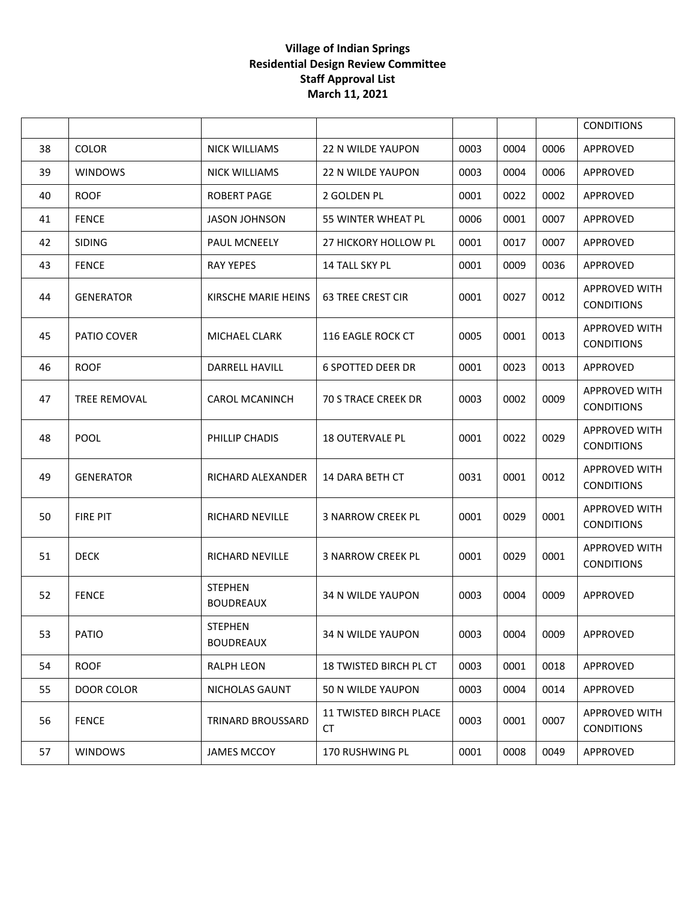|    |                   |                                    |                                            |      |      |      | <b>CONDITIONS</b>                         |
|----|-------------------|------------------------------------|--------------------------------------------|------|------|------|-------------------------------------------|
| 38 | COLOR             | <b>NICK WILLIAMS</b>               | <b>22 N WILDE YAUPON</b>                   | 0003 | 0004 | 0006 | APPROVED                                  |
| 39 | <b>WINDOWS</b>    | <b>NICK WILLIAMS</b>               | <b>22 N WILDE YAUPON</b>                   | 0003 | 0004 | 0006 | APPROVED                                  |
| 40 | <b>ROOF</b>       | <b>ROBERT PAGE</b>                 | 2 GOLDEN PL                                | 0001 | 0022 | 0002 | APPROVED                                  |
| 41 | <b>FENCE</b>      | JASON JOHNSON                      | 55 WINTER WHEAT PL                         | 0006 | 0001 | 0007 | APPROVED                                  |
| 42 | <b>SIDING</b>     | PAUL MCNEELY                       | 27 HICKORY HOLLOW PL                       | 0001 | 0017 | 0007 | APPROVED                                  |
| 43 | <b>FENCE</b>      | <b>RAY YEPES</b>                   | 14 TALL SKY PL                             | 0001 | 0009 | 0036 | APPROVED                                  |
| 44 | <b>GENERATOR</b>  | KIRSCHE MARIE HEINS                | <b>63 TREE CREST CIR</b>                   | 0001 | 0027 | 0012 | <b>APPROVED WITH</b><br><b>CONDITIONS</b> |
| 45 | PATIO COVER       | MICHAEL CLARK                      | 116 EAGLE ROCK CT                          | 0005 | 0001 | 0013 | <b>APPROVED WITH</b><br><b>CONDITIONS</b> |
| 46 | <b>ROOF</b>       | DARRELL HAVILL                     | <b>6 SPOTTED DEER DR</b>                   | 0001 | 0023 | 0013 | APPROVED                                  |
| 47 | TREE REMOVAL      | <b>CAROL MCANINCH</b>              | <b>70 S TRACE CREEK DR</b>                 | 0003 | 0002 | 0009 | <b>APPROVED WITH</b><br><b>CONDITIONS</b> |
| 48 | POOL              | PHILLIP CHADIS                     | <b>18 OUTERVALE PL</b>                     | 0001 | 0022 | 0029 | <b>APPROVED WITH</b><br><b>CONDITIONS</b> |
| 49 | <b>GENERATOR</b>  | RICHARD ALEXANDER                  | 14 DARA BETH CT                            | 0031 | 0001 | 0012 | <b>APPROVED WITH</b><br><b>CONDITIONS</b> |
| 50 | <b>FIRE PIT</b>   | <b>RICHARD NEVILLE</b>             | <b>3 NARROW CREEK PL</b>                   | 0001 | 0029 | 0001 | <b>APPROVED WITH</b><br><b>CONDITIONS</b> |
| 51 | <b>DECK</b>       | <b>RICHARD NEVILLE</b>             | <b>3 NARROW CREEK PL</b>                   | 0001 | 0029 | 0001 | <b>APPROVED WITH</b><br><b>CONDITIONS</b> |
| 52 | <b>FENCE</b>      | <b>STEPHEN</b><br><b>BOUDREAUX</b> | <b>34 N WILDE YAUPON</b>                   | 0003 | 0004 | 0009 | APPROVED                                  |
| 53 | <b>PATIO</b>      | <b>STEPHEN</b><br><b>BOUDREAUX</b> | 34 N WILDE YAUPON                          | 0003 | 0004 | 0009 | APPROVED                                  |
| 54 | <b>ROOF</b>       | RALPH LEON                         | <b>18 TWISTED BIRCH PL CT</b>              | 0003 | 0001 | 0018 | APPROVED                                  |
| 55 | <b>DOOR COLOR</b> | NICHOLAS GAUNT                     | 50 N WILDE YAUPON                          | 0003 | 0004 | 0014 | APPROVED                                  |
| 56 | <b>FENCE</b>      | <b>TRINARD BROUSSARD</b>           | <b>11 TWISTED BIRCH PLACE</b><br><b>CT</b> | 0003 | 0001 | 0007 | <b>APPROVED WITH</b><br><b>CONDITIONS</b> |
| 57 | <b>WINDOWS</b>    | <b>JAMES MCCOY</b>                 | 170 RUSHWING PL                            | 0001 | 0008 | 0049 | APPROVED                                  |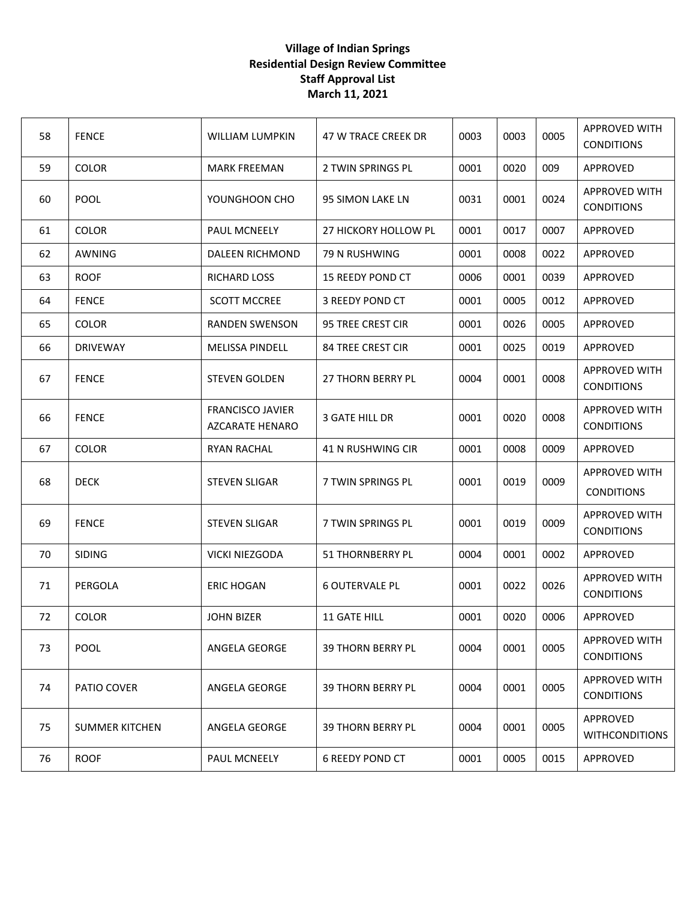| 58 | <b>FENCE</b>          | WILLIAM LUMPKIN                                   | 47 W TRACE CREEK DR      | 0003 | 0003 | 0005 | <b>APPROVED WITH</b><br><b>CONDITIONS</b> |
|----|-----------------------|---------------------------------------------------|--------------------------|------|------|------|-------------------------------------------|
| 59 | <b>COLOR</b>          | <b>MARK FREEMAN</b>                               | 2 TWIN SPRINGS PL        | 0001 | 0020 | 009  | APPROVED                                  |
| 60 | <b>POOL</b>           | YOUNGHOON CHO                                     | 95 SIMON LAKE LN         | 0031 | 0001 | 0024 | APPROVED WITH<br><b>CONDITIONS</b>        |
| 61 | <b>COLOR</b>          | PAUL MCNEELY                                      | 27 HICKORY HOLLOW PL     | 0001 | 0017 | 0007 | APPROVED                                  |
| 62 | <b>AWNING</b>         | DALEEN RICHMOND                                   | 79 N RUSHWING            | 0001 | 0008 | 0022 | APPROVED                                  |
| 63 | <b>ROOF</b>           | <b>RICHARD LOSS</b>                               | <b>15 REEDY POND CT</b>  | 0006 | 0001 | 0039 | APPROVED                                  |
| 64 | <b>FENCE</b>          | <b>SCOTT MCCREE</b>                               | 3 REEDY POND CT          | 0001 | 0005 | 0012 | APPROVED                                  |
| 65 | <b>COLOR</b>          | <b>RANDEN SWENSON</b>                             | <b>95 TREE CREST CIR</b> | 0001 | 0026 | 0005 | APPROVED                                  |
| 66 | <b>DRIVEWAY</b>       | <b>MELISSA PINDELL</b>                            | <b>84 TREE CREST CIR</b> | 0001 | 0025 | 0019 | APPROVED                                  |
| 67 | <b>FENCE</b>          | <b>STEVEN GOLDEN</b>                              | <b>27 THORN BERRY PL</b> | 0004 | 0001 | 0008 | <b>APPROVED WITH</b><br><b>CONDITIONS</b> |
| 66 | <b>FENCE</b>          | <b>FRANCISCO JAVIER</b><br><b>AZCARATE HENARO</b> | 3 GATE HILL DR           | 0001 | 0020 | 0008 | <b>APPROVED WITH</b><br><b>CONDITIONS</b> |
| 67 | <b>COLOR</b>          | <b>RYAN RACHAL</b>                                | 41 N RUSHWING CIR        | 0001 | 0008 | 0009 | APPROVED                                  |
| 68 | <b>DECK</b>           | <b>STEVEN SLIGAR</b>                              | 7 TWIN SPRINGS PL        | 0001 | 0019 | 0009 | <b>APPROVED WITH</b><br><b>CONDITIONS</b> |
| 69 | <b>FENCE</b>          | <b>STEVEN SLIGAR</b>                              | 7 TWIN SPRINGS PL        | 0001 | 0019 | 0009 | <b>APPROVED WITH</b><br><b>CONDITIONS</b> |
| 70 | <b>SIDING</b>         | <b>VICKI NIEZGODA</b>                             | 51 THORNBERRY PL         | 0004 | 0001 | 0002 | APPROVED                                  |
| 71 | PERGOLA               | ERIC HOGAN                                        | <b>6 OUTERVALE PL</b>    | 0001 | 0022 | 0026 | <b>APPROVED WITH</b><br><b>CONDITIONS</b> |
| 72 | <b>COLOR</b>          | <b>JOHN BIZER</b>                                 | <b>11 GATE HILL</b>      | 0001 | 0020 | 0006 | APPROVED                                  |
| 73 | POOL                  | ANGELA GEORGE                                     | <b>39 THORN BERRY PL</b> | 0004 | 0001 | 0005 | <b>APPROVED WITH</b><br><b>CONDITIONS</b> |
| 74 | PATIO COVER           | ANGELA GEORGE                                     | <b>39 THORN BERRY PL</b> | 0004 | 0001 | 0005 | <b>APPROVED WITH</b><br><b>CONDITIONS</b> |
| 75 | <b>SUMMER KITCHEN</b> | ANGELA GEORGE                                     | <b>39 THORN BERRY PL</b> | 0004 | 0001 | 0005 | APPROVED<br><b>WITHCONDITIONS</b>         |
| 76 | <b>ROOF</b>           | PAUL MCNEELY                                      | <b>6 REEDY POND CT</b>   | 0001 | 0005 | 0015 | APPROVED                                  |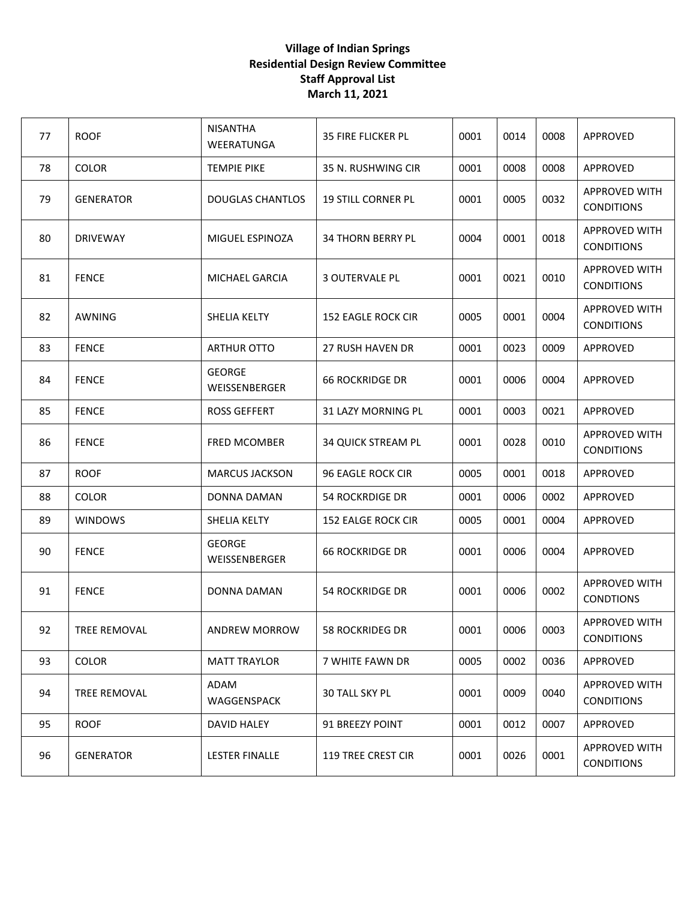| 77 | <b>ROOF</b>      | <b>NISANTHA</b><br>WEERATUNGA  | <b>35 FIRE FLICKER PL</b> | 0001 | 0014 | 0008 | APPROVED                                  |
|----|------------------|--------------------------------|---------------------------|------|------|------|-------------------------------------------|
| 78 | <b>COLOR</b>     | <b>TEMPIE PIKE</b>             | 35 N. RUSHWING CIR        | 0001 | 0008 | 0008 | APPROVED                                  |
| 79 | <b>GENERATOR</b> | <b>DOUGLAS CHANTLOS</b>        | <b>19 STILL CORNER PL</b> | 0001 | 0005 | 0032 | <b>APPROVED WITH</b><br><b>CONDITIONS</b> |
| 80 | <b>DRIVEWAY</b>  | MIGUEL ESPINOZA                | <b>34 THORN BERRY PL</b>  | 0004 | 0001 | 0018 | <b>APPROVED WITH</b><br><b>CONDITIONS</b> |
| 81 | <b>FENCE</b>     | MICHAEL GARCIA                 | <b>3 OUTERVALE PL</b>     | 0001 | 0021 | 0010 | <b>APPROVED WITH</b><br><b>CONDITIONS</b> |
| 82 | AWNING           | SHELIA KELTY                   | <b>152 EAGLE ROCK CIR</b> | 0005 | 0001 | 0004 | <b>APPROVED WITH</b><br><b>CONDITIONS</b> |
| 83 | <b>FENCE</b>     | <b>ARTHUR OTTO</b>             | <b>27 RUSH HAVEN DR</b>   | 0001 | 0023 | 0009 | APPROVED                                  |
| 84 | <b>FENCE</b>     | <b>GEORGE</b><br>WEISSENBERGER | <b>66 ROCKRIDGE DR</b>    | 0001 | 0006 | 0004 | APPROVED                                  |
| 85 | <b>FENCE</b>     | <b>ROSS GEFFERT</b>            | <b>31 LAZY MORNING PL</b> | 0001 | 0003 | 0021 | APPROVED                                  |
| 86 | <b>FENCE</b>     | <b>FRED MCOMBER</b>            | <b>34 QUICK STREAM PL</b> | 0001 | 0028 | 0010 | <b>APPROVED WITH</b><br><b>CONDITIONS</b> |
| 87 | <b>ROOF</b>      | <b>MARCUS JACKSON</b>          | 96 EAGLE ROCK CIR         | 0005 | 0001 | 0018 | APPROVED                                  |
| 88 | <b>COLOR</b>     | DONNA DAMAN                    | <b>54 ROCKRDIGE DR</b>    | 0001 | 0006 | 0002 | APPROVED                                  |
| 89 | <b>WINDOWS</b>   | SHELIA KELTY                   | <b>152 EALGE ROCK CIR</b> | 0005 | 0001 | 0004 | APPROVED                                  |
| 90 | <b>FENCE</b>     | <b>GEORGE</b><br>WEISSENBERGER | <b>66 ROCKRIDGE DR</b>    | 0001 | 0006 | 0004 | APPROVED                                  |
| 91 | <b>FENCE</b>     | DONNA DAMAN                    | 54 ROCKRIDGE DR           | 0001 | 0006 | 0002 | <b>APPROVED WITH</b><br><b>CONDTIONS</b>  |
| 92 | TREE REMOVAL     | ANDREW MORROW                  | 58 ROCKRIDEG DR           | 0001 | 0006 | 0003 | <b>APPROVED WITH</b><br><b>CONDITIONS</b> |
| 93 | <b>COLOR</b>     | <b>MATT TRAYLOR</b>            | 7 WHITE FAWN DR           | 0005 | 0002 | 0036 | APPROVED                                  |
| 94 | TREE REMOVAL     | ADAM<br>WAGGENSPACK            | <b>30 TALL SKY PL</b>     | 0001 | 0009 | 0040 | <b>APPROVED WITH</b><br><b>CONDITIONS</b> |
| 95 | <b>ROOF</b>      | DAVID HALEY                    | 91 BREEZY POINT           | 0001 | 0012 | 0007 | APPROVED                                  |
| 96 | <b>GENERATOR</b> | <b>LESTER FINALLE</b>          | <b>119 TREE CREST CIR</b> | 0001 | 0026 | 0001 | <b>APPROVED WITH</b><br><b>CONDITIONS</b> |